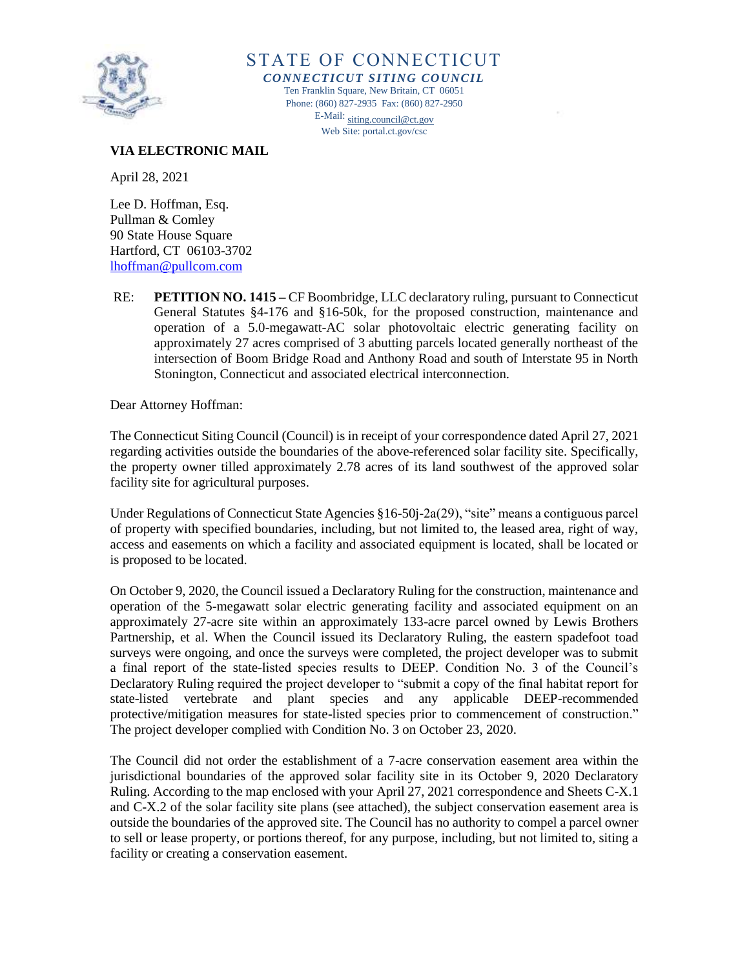

STATE OF CONNECTICUT *CONNECTICUT SITING COUNCIL* Ten Franklin Square, New Britain, CT 06051 Phone: (860) 827-2935 Fax: (860) 827-2950 E-Mail[: siting.council@ct.gov](mailto:siting.council@ct.gov) Web Site: portal.ct.gov/csc

## **VIA ELECTRONIC MAIL**

April 28, 2021

Lee D. Hoffman, Esq. Pullman & Comley 90 State House Square Hartford, CT 06103-3702 [lhoffman@pullcom.com](mailto:lhoffman@pullcom.com)

RE: **PETITION NO. 1415 –** CF Boombridge, LLC declaratory ruling, pursuant to Connecticut General Statutes §4-176 and §16-50k, for the proposed construction, maintenance and operation of a 5.0-megawatt-AC solar photovoltaic electric generating facility on approximately 27 acres comprised of 3 abutting parcels located generally northeast of the intersection of Boom Bridge Road and Anthony Road and south of Interstate 95 in North Stonington, Connecticut and associated electrical interconnection.

Dear Attorney Hoffman:

The Connecticut Siting Council (Council) is in receipt of your correspondence dated April 27, 2021 regarding activities outside the boundaries of the above-referenced solar facility site. Specifically, the property owner tilled approximately 2.78 acres of its land southwest of the approved solar facility site for agricultural purposes.

Under Regulations of Connecticut State Agencies §16-50j-2a(29), "site" means a contiguous parcel of property with specified boundaries, including, but not limited to, the leased area, right of way, access and easements on which a facility and associated equipment is located, shall be located or is proposed to be located.

On October 9, 2020, the Council issued a Declaratory Ruling for the construction, maintenance and operation of the 5-megawatt solar electric generating facility and associated equipment on an approximately 27-acre site within an approximately 133-acre parcel owned by Lewis Brothers Partnership, et al. When the Council issued its Declaratory Ruling, the eastern spadefoot toad surveys were ongoing, and once the surveys were completed, the project developer was to submit a final report of the state-listed species results to DEEP. Condition No. 3 of the Council's Declaratory Ruling required the project developer to "submit a copy of the final habitat report for state-listed vertebrate and plant species and any applicable DEEP-recommended protective/mitigation measures for state-listed species prior to commencement of construction." The project developer complied with Condition No. 3 on October 23, 2020.

The Council did not order the establishment of a 7-acre conservation easement area within the jurisdictional boundaries of the approved solar facility site in its October 9, 2020 Declaratory Ruling. According to the map enclosed with your April 27, 2021 correspondence and Sheets C-X.1 and C-X.2 of the solar facility site plans (see attached), the subject conservation easement area is outside the boundaries of the approved site. The Council has no authority to compel a parcel owner to sell or lease property, or portions thereof, for any purpose, including, but not limited to, siting a facility or creating a conservation easement.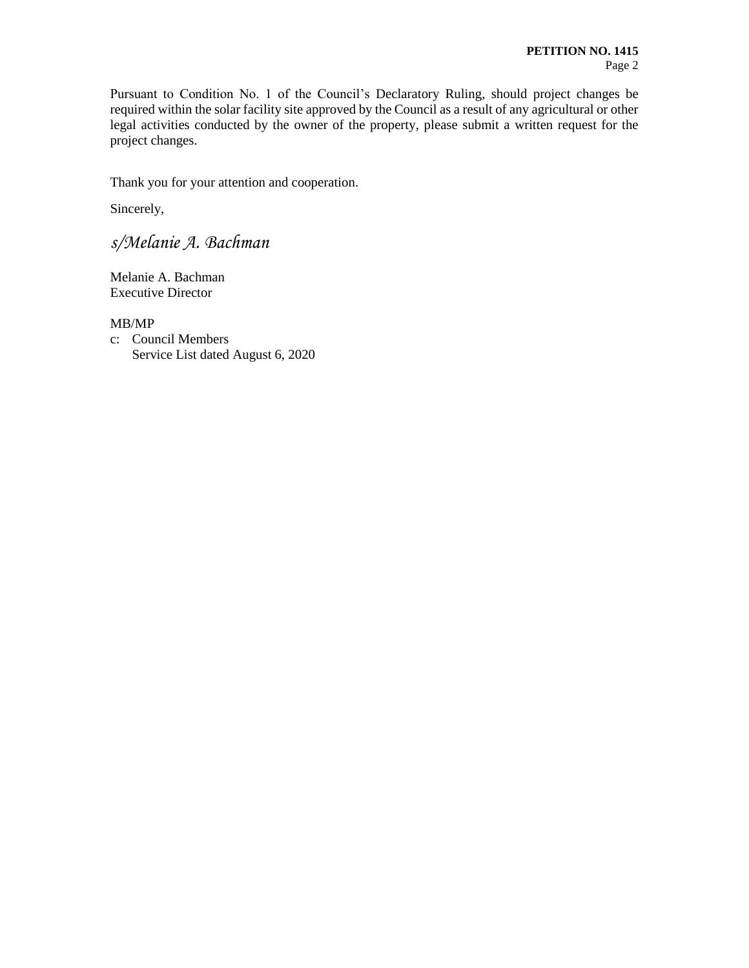Pursuant to Condition No. 1 of the Council's Declaratory Ruling, should project changes be required within the solar facility site approved by the Council as a result of any agricultural or other legal activities conducted by the owner of the property, please submit a written request for the project changes.

Thank you for your attention and cooperation.

Sincerely,

*s/Melanie A. Bachman*

Melanie A. Bachman Executive Director

MB/MP c: Council Members

Service List dated August 6, 2020